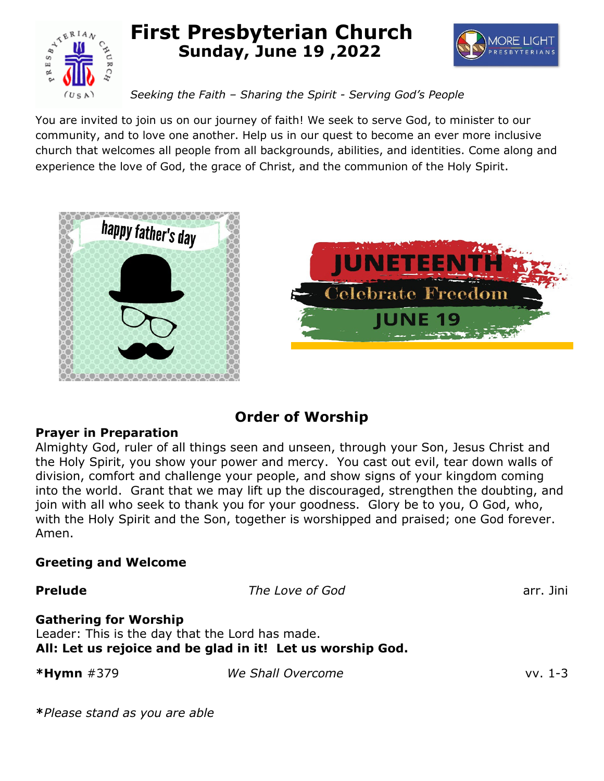

# **First Presbyterian Church Sunday, June 19 ,2022**



*Seeking the Faith – Sharing the Spirit - Serving God's People*

You are invited to join us on our journey of faith! We seek to serve God, to minister to our community, and to love one another. Help us in our quest to become an ever more inclusive church that welcomes all people from all backgrounds, abilities, and identities. Come along and experience the love of God, the grace of Christ, and the communion of the Holy Spirit.





# **Order of Worship**

# **Prayer in Preparation**

**Greeting and Welcome**

Almighty God, ruler of all things seen and unseen, through your Son, Jesus Christ and the Holy Spirit, you show your power and mercy. You cast out evil, tear down walls of division, comfort and challenge your people, and show signs of your kingdom coming into the world. Grant that we may lift up the discouraged, strengthen the doubting, and join with all who seek to thank you for your goodness. Glory be to you, O God, who, with the Holy Spirit and the Son, together is worshipped and praised; one God forever. Amen.

| <b>Prelude</b>                                                                  | The Love of God                                            | arr. Jini |
|---------------------------------------------------------------------------------|------------------------------------------------------------|-----------|
| <b>Gathering for Worship</b><br>Leader: This is the day that the Lord has made. | All: Let us rejoice and be glad in it! Let us worship God. |           |
| <b>*Hymn</b> #379                                                               | We Shall Overcome                                          | $vv. 1-3$ |
| *Please stand as you are able                                                   |                                                            |           |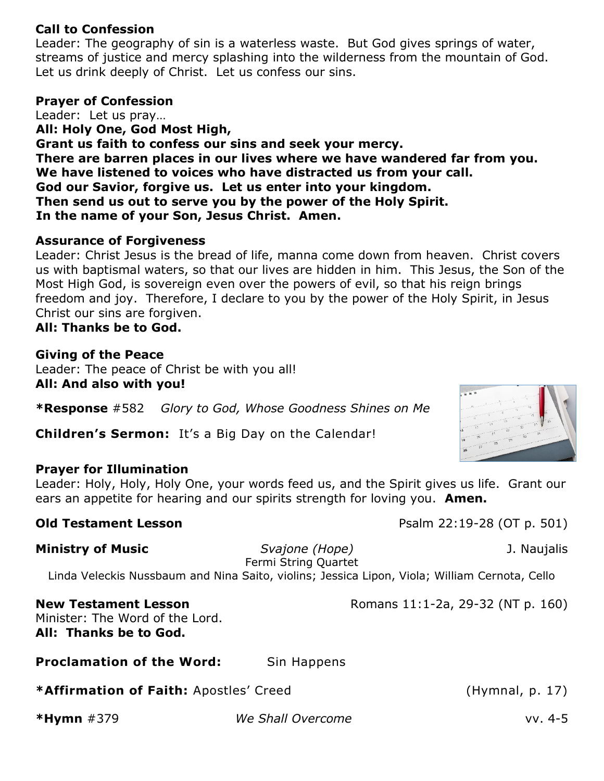# **Call to Confession**

Leader: The geography of sin is a waterless waste. But God gives springs of water, streams of justice and mercy splashing into the wilderness from the mountain of God. Let us drink deeply of Christ. Let us confess our sins.

# **Prayer of Confession**

Leader: Let us pray… **All: Holy One, God Most High, Grant us faith to confess our sins and seek your mercy. There are barren places in our lives where we have wandered far from you. We have listened to voices who have distracted us from your call. God our Savior, forgive us. Let us enter into your kingdom. Then send us out to serve you by the power of the Holy Spirit. In the name of your Son, Jesus Christ. Amen.** 

# **Assurance of Forgiveness**

Leader: Christ Jesus is the bread of life, manna come down from heaven. Christ covers us with baptismal waters, so that our lives are hidden in him. This Jesus, the Son of the Most High God, is sovereign even over the powers of evil, so that his reign brings freedom and joy. Therefore, I declare to you by the power of the Holy Spirit, in Jesus Christ our sins are forgiven.

# **All: Thanks be to God.**

**Giving of the Peace**

Leader: The peace of Christ be with you all! **All: And also with you!**

**\*Response** #582 *Glory to God, Whose Goodness Shines on Me*

**Children's Sermon:** It's a Big Day on the Calendar!

# **Prayer for Illumination**

Leader: Holy, Holy, Holy One, your words feed us, and the Spirit gives us life. Grant our ears an appetite for hearing and our spirits strength for loving you. **Amen.**

**Old Testament Lesson Psalm 22:19-28 (OT p. 501)** 

**Ministry of Music** *Svajone (Hope)* J. Naujalis Fermi String Quartet

Linda Veleckis Nussbaum and Nina Saito, violins; Jessica Lipon, Viola; William Cernota, Cello

**New Testament Lesson** Romans 11:1-2a, 29-32 (NT p. 160)

Minister: The Word of the Lord. **All: Thanks be to God.**

# **Proclamation of the Word:** Sin Happens

**\*Affirmation of Faith:** Apostles' Creed (Hymnal, p. 17)

**\*Hymn** #379 *We Shall Overcome* vv. 4-5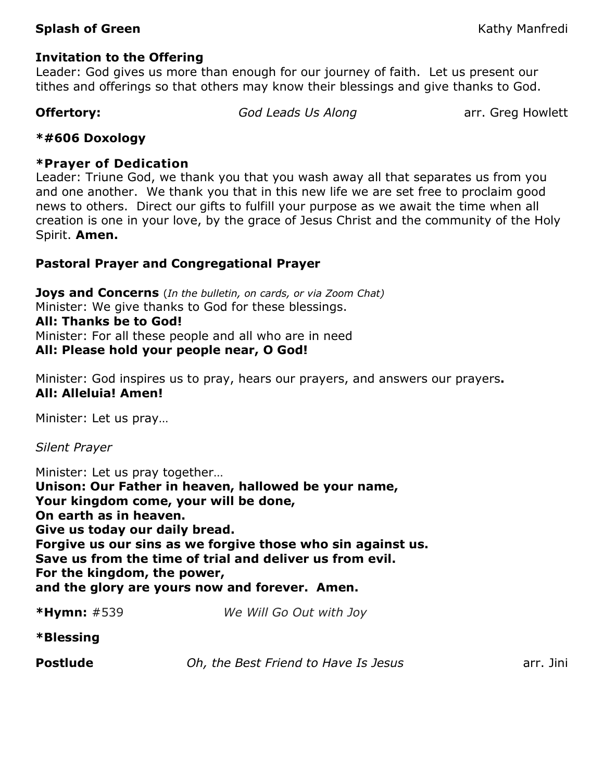# **Splash of Green** Kathy Manfredi

# **Invitation to the Offering**

Leader: God gives us more than enough for our journey of faith. Let us present our tithes and offerings so that others may know their blessings and give thanks to God.

**Offertory:** God Leads Us Along arr. Greg Howlett

# **\*#606 Doxology**

# **\*Prayer of Dedication**

Leader: Triune God, we thank you that you wash away all that separates us from you and one another. We thank you that in this new life we are set free to proclaim good news to others. Direct our gifts to fulfill your purpose as we await the time when all creation is one in your love, by the grace of Jesus Christ and the community of the Holy Spirit. **Amen.**

# **Pastoral Prayer and Congregational Prayer**

**Joys and Concerns** (*In the bulletin, on cards, or via Zoom Chat)* Minister: We give thanks to God for these blessings. **All: Thanks be to God!** Minister: For all these people and all who are in need **All: Please hold your people near, O God!**

Minister: God inspires us to pray, hears our prayers, and answers our prayers**. All: Alleluia! Amen!**

Minister: Let us pray…

*Silent Prayer*

Minister: Let us pray together… **Unison: Our Father in heaven, hallowed be your name, Your kingdom come, your will be done, On earth as in heaven. Give us today our daily bread. Forgive us our sins as we forgive those who sin against us. Save us from the time of trial and deliver us from evil. For the kingdom, the power, and the glory are yours now and forever. Amen.**

**\*Hymn:** #539 *We Will Go Out with Joy*

**\*Blessing**

**Postlude** *<i>Oh, the Best Friend to Have Is Jesus* **arr.** Jini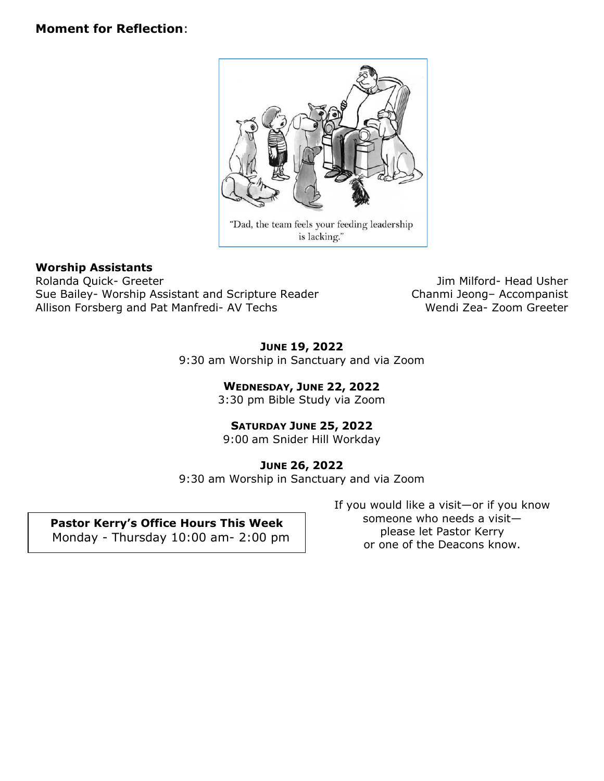# **Moment for Reflection**:



# **Worship Assistants**

Rolanda Quick- Greeter **Milford- Head Usher** Jim Milford- Head Usher Sue Bailey- Worship Assistant and Scripture Reader **Chanmi Jeong– Accompanist**<br>Allison Forsberg and Pat Manfredi- AV Techs **Chanmi Chanmi Zea- Zoom Greeter** Allison Forsberg and Pat Manfredi- AV Techs

**JUNE 19, 2022**  9:30 am Worship in Sanctuary and via Zoom

**WEDNESDAY, JUNE 22, 2022**

3:30 pm Bible Study via Zoom

# **SATURDAY JUNE 25, 2022**

9:00 am Snider Hill Workday

# **JUNE 26, 2022**

9:30 am Worship in Sanctuary and via Zoom

**Pastor Kerry's Office Hours This Week** Monday - Thursday 10:00 am- 2:00 pm If you would like a visit—or if you know someone who needs a visit please let Pastor Kerry or one of the Deacons know.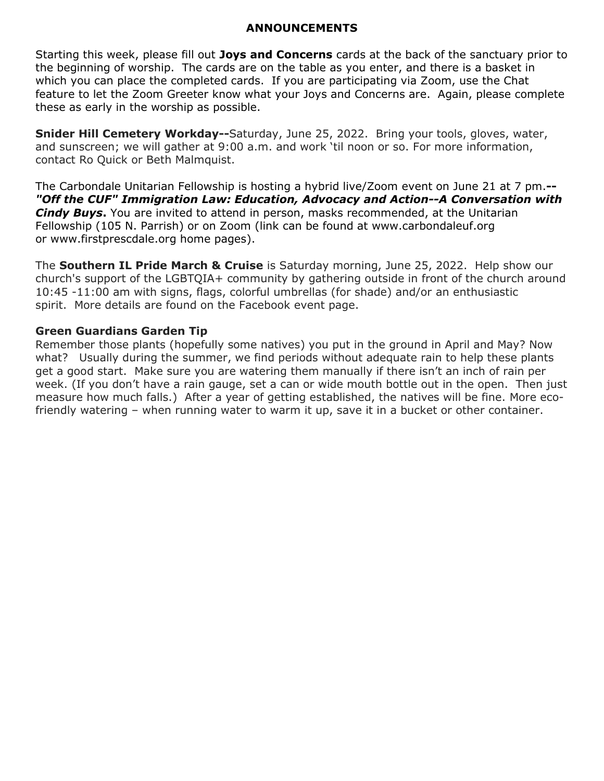#### **ANNOUNCEMENTS**

Starting this week, please fill out **Joys and Concerns** cards at the back of the sanctuary prior to the beginning of worship. The cards are on the table as you enter, and there is a basket in which you can place the completed cards. If you are participating via Zoom, use the Chat feature to let the Zoom Greeter know what your Joys and Concerns are. Again, please complete these as early in the worship as possible.

**Snider Hill Cemetery Workday--**Saturday, June 25, 2022. Bring your tools, gloves, water, and sunscreen; we will gather at 9:00 a.m. and work 'til noon or so. For more information, contact Ro Quick or Beth Malmquist.

The Carbondale Unitarian Fellowship is hosting a hybrid live/Zoom event on June 21 at 7 pm.**--** *"Off the CUF" Immigration Law: Education, Advocacy and Action--A Conversation with Cindy Buys.* You are invited to attend in person, masks recommended, at the Unitarian Fellowship (105 N. Parrish) or on Zoom (link can be found at [www.carbondaleuf.org](http://www.carbondaleuf.org/)  or [www.firstprescdale.org](http://www.firstprescdale.org/) home pages).

The **Southern IL Pride March & Cruise** is Saturday morning, June 25, 2022. Help show our church's support of the LGBTQIA+ community by gathering outside in front of the church around 10:45 -11:00 am with signs, flags, colorful umbrellas (for shade) and/or an enthusiastic spirit. More details are found on the Facebook event page.

#### **Green Guardians Garden Tip**

Remember those plants (hopefully some natives) you put in the ground in April and May? Now what? Usually during the summer, we find periods without adequate rain to help these plants get a good start. Make sure you are watering them manually if there isn't an inch of rain per week. (If you don't have a rain gauge, set a can or wide mouth bottle out in the open. Then just measure how much falls.) After a year of getting established, the natives will be fine. More ecofriendly watering – when running water to warm it up, save it in a bucket or other container.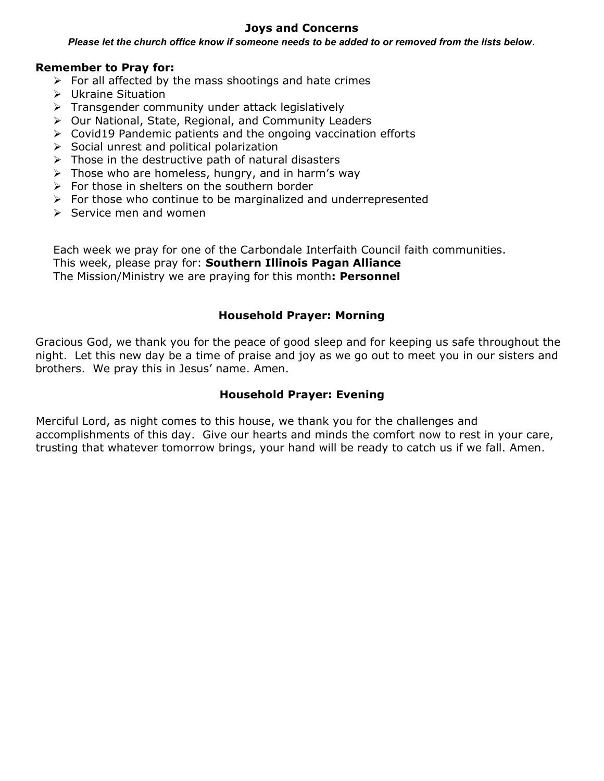#### **Joys and Concerns**

*Please let the church office know if someone needs to be added to or removed from the lists below*.

### **Remember to Pray for:**

- $\triangleright$  For all affected by the mass shootings and hate crimes
- **▶ Ukraine Situation**
- $\triangleright$  Transgender community under attack legislatively
- ▶ Our National, State, Regional, and Community Leaders
- $\triangleright$  Covid19 Pandemic patients and the ongoing vaccination efforts
- $\triangleright$  Social unrest and political polarization
- $\triangleright$  Those in the destructive path of natural disasters
- $\triangleright$  Those who are homeless, hungry, and in harm's way
- $\triangleright$  For those in shelters on the southern border
- $\triangleright$  For those who continue to be marginalized and underrepresented
- $\triangleright$  Service men and women

Each week we pray for one of the Carbondale Interfaith Council faith communities. This week, please pray for: **Southern Illinois Pagan Alliance** The Mission/Ministry we are praying for this month**: Personnel**

#### **Household Prayer: Morning**

Gracious God, we thank you for the peace of good sleep and for keeping us safe throughout the night. Let this new day be a time of praise and joy as we go out to meet you in our sisters and brothers. We pray this in Jesus' name. Amen.

### **Household Prayer: Evening**

Merciful Lord, as night comes to this house, we thank you for the challenges and accomplishments of this day. Give our hearts and minds the comfort now to rest in your care, trusting that whatever tomorrow brings, your hand will be ready to catch us if we fall. Amen.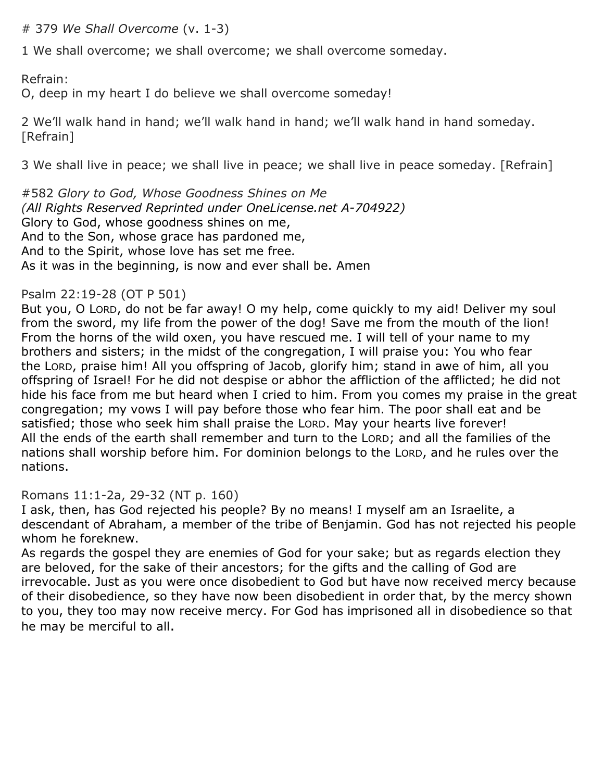# 379 *We Shall Overcome* (v. 1-3)

1 We shall overcome; we shall overcome; we shall overcome someday.

Refrain:

O, deep in my heart I do believe we shall overcome someday!

2 We'll walk hand in hand; we'll walk hand in hand; we'll walk hand in hand someday. [Refrain]

3 We shall live in peace; we shall live in peace; we shall live in peace someday. [Refrain]

#582 *Glory to God, Whose Goodness Shines on Me (All Rights Reserved Reprinted under OneLicense.net A-704922)* Glory to God, whose goodness shines on me, And to the Son, whose grace has pardoned me, And to the Spirit, whose love has set me free*.* As it was in the beginning, is now and ever shall be. Amen

# Psalm 22:19-28 (OT P 501)

But you, O LORD, do not be far away! O my help, come quickly to my aid! Deliver my soul from the sword, my life from the power of the dog! Save me from the mouth of the lion! From the horns of the wild oxen, you have rescued me. I will tell of your name to my brothers and sisters; in the midst of the congregation, I will praise you: You who fear the LORD, praise him! All you offspring of Jacob, glorify him; stand in awe of him, all you offspring of Israel! For he did not despise or abhor the affliction of the afflicted; he did not hide his face from me but heard when I cried to him. From you comes my praise in the great congregation; my vows I will pay before those who fear him. The poor shall eat and be satisfied; those who seek him shall praise the LORD. May your hearts live forever! All the ends of the earth shall remember and turn to the LORD; and all the families of the nations shall worship before him. For dominion belongs to the LORD, and he rules over the nations.

Romans 11:1-2a, 29-32 (NT p. 160)

I ask, then, has God rejected his people? By no means! I myself am an Israelite, a descendant of Abraham, a member of the tribe of Benjamin. God has not rejected his people whom he foreknew.

As regards the gospel they are enemies of God for your sake; but as regards election they are beloved, for the sake of their ancestors; for the gifts and the calling of God are irrevocable. Just as you were once disobedient to God but have now received mercy because of their disobedience, so they have now been disobedient in order that, by the mercy shown to you, they too may now receive mercy. For God has imprisoned all in disobedience so that he may be merciful to all.